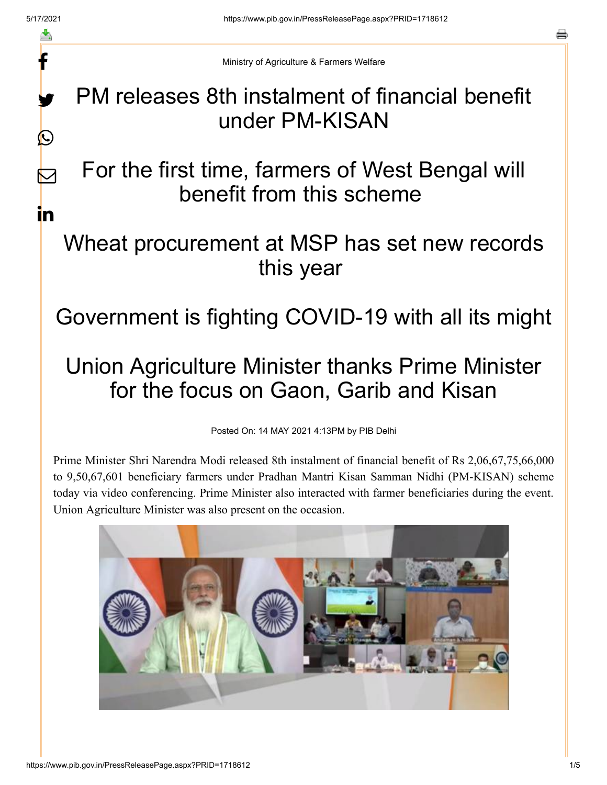f

y.

 $\bigcirc$ 

 $\sum$ 

in

a

Ministry of Agriculture & Farmers Welfare

PM releases 8th instalment of financial benefit under PM-KISAN

For the first time, farmers of West Bengal will benefit from this scheme

## Wheat procurement at MSP has set new records this year

Government is fighting COVID-19 with all its might

## Union Agriculture Minister thanks Prime Minister for the focus on Gaon, Garib and Kisan

Posted On: 14 MAY 2021 4:13PM by PIB Delhi

Prime Minister Shri Narendra Modi released 8th instalment of financial benefit of Rs 2,06,67,75,66,000 to 9,50,67,601 beneficiary farmers under Pradhan Mantri Kisan Samman Nidhi (PM-KISAN) scheme today via video conferencing. Prime Minister also interacted with farmer beneficiaries during the event. Union Agriculture Minister was also present on the occasion.

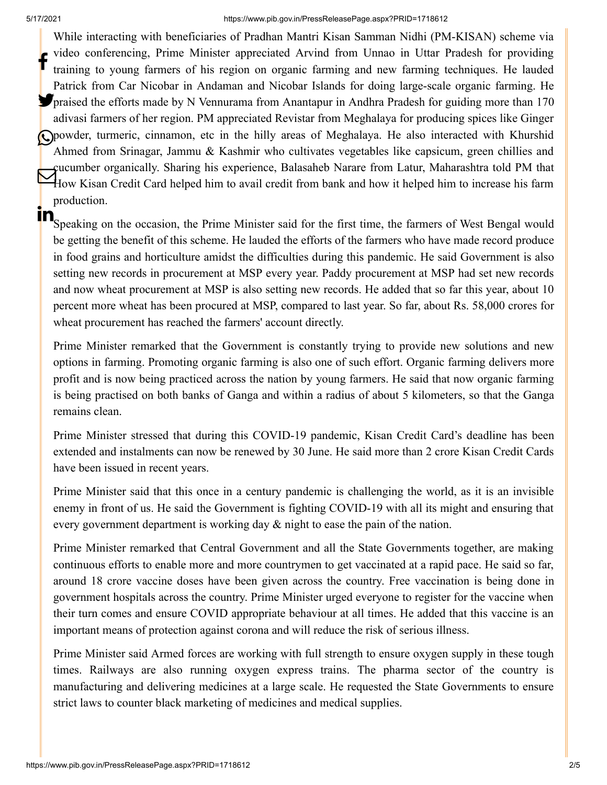## 5/17/2021 https://www.pib.gov.in/PressReleasePage.aspx?PRID=1718612

While interacting with beneficiaries of Pradhan Mantri Kisan Samman Nidhi (PM-KISAN) scheme via video conferencing, Prime Minister appreciated Arvind from Unnao in Uttar Pradesh for providing training to young farmers of his region on organic farming and new farming techniques. He lauded Patrick from Car Nicobar in Andaman and Nicobar Islands for doing large-scale organic farming. He **P**praised the efforts made by N Vennurama from Anantapur in Andhra Pradesh for guiding more than 170 adivasi farmers of her region. PM appreciated Revistar from Meghalaya for producing spices like Ginger powder, turmeric, cinnamon, etc in the hilly areas of Meghalaya. He also interacted with Khurshid Ahmed from Srinagar, Jammu & Kashmir who cultivates vegetables like capsicum, green chillies and cucumber organically. Sharing his experience, Balasaheb Narare from Latur, Maharashtra told PM that How Kisan Credit Card helped him to avail credit from bank and how it helped him to increase his farm<br>How Kisan Credit Card helped him to avail credit from bank and how it helped him to increase his farm production. f

 $\mathbf{\hat{S}}$  Speaking on the occasion, the Prime Minister said for the first time, the farmers of West Bengal would be getting the benefit of this scheme. He lauded the efforts of the farmers who have made record produce in food grains and horticulture amidst the difficulties during this pandemic. He said Government is also setting new records in procurement at MSP every year. Paddy procurement at MSP had set new records and now wheat procurement at MSP is also setting new records. He added that so far this year, about 10 percent more wheat has been procured at MSP, compared to last year. So far, about Rs. 58,000 crores for wheat procurement has reached the farmers' account directly.

Prime Minister remarked that the Government is constantly trying to provide new solutions and new options in farming. Promoting organic farming is also one of such effort. Organic farming delivers more profit and is now being practiced across the nation by young farmers. He said that now organic farming is being practised on both banks of Ganga and within a radius of about 5 kilometers, so that the Ganga remains clean.

Prime Minister stressed that during this COVID-19 pandemic, Kisan Credit Card's deadline has been extended and instalments can now be renewed by 30 June. He said more than 2 crore Kisan Credit Cards have been issued in recent years.

Prime Minister said that this once in a century pandemic is challenging the world, as it is an invisible enemy in front of us. He said the Government is fighting COVID-19 with all its might and ensuring that every government department is working day & night to ease the pain of the nation.

Prime Minister remarked that Central Government and all the State Governments together, are making continuous efforts to enable more and more countrymen to get vaccinated at a rapid pace. He said so far, around 18 crore vaccine doses have been given across the country. Free vaccination is being done in government hospitals across the country. Prime Minister urged everyone to register for the vaccine when their turn comes and ensure COVID appropriate behaviour at all times. He added that this vaccine is an important means of protection against corona and will reduce the risk of serious illness.

Prime Minister said Armed forces are working with full strength to ensure oxygen supply in these tough times. Railways are also running oxygen express trains. The pharma sector of the country is manufacturing and delivering medicines at a large scale. He requested the State Governments to ensure strict laws to counter black marketing of medicines and medical supplies.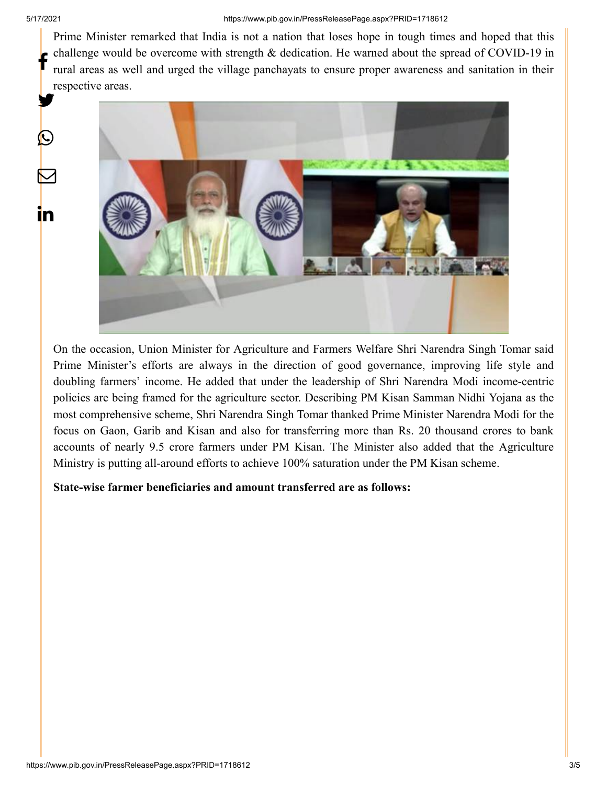$\bigcirc$ 

 $\bm{\nabla}$ 

in

Prime Minister remarked that India is not a nation that loses hope in tough times and hoped that this challenge would be overcome with strength & dedication. He warned about the spread of COVID-19 in rural areas as well and urged the village panchayats to ensure proper awareness and sanitation in their respective areas. f y.



On the occasion, Union Minister for Agriculture and Farmers Welfare Shri Narendra Singh Tomar said Prime Minister's efforts are always in the direction of good governance, improving life style and doubling farmers' income. He added that under the leadership of Shri Narendra Modi income-centric policies are being framed for the agriculture sector. Describing PM Kisan Samman Nidhi Yojana as the most comprehensive scheme, Shri Narendra Singh Tomar thanked Prime Minister Narendra Modi for the focus on Gaon, Garib and Kisan and also for transferring more than Rs. 20 thousand crores to bank accounts of nearly 9.5 crore farmers under PM Kisan. The Minister also added that the Agriculture Ministry is putting all-around efforts to achieve 100% saturation under the PM Kisan scheme.

**State-wise farmer beneficiaries and amount transferred are as follows:**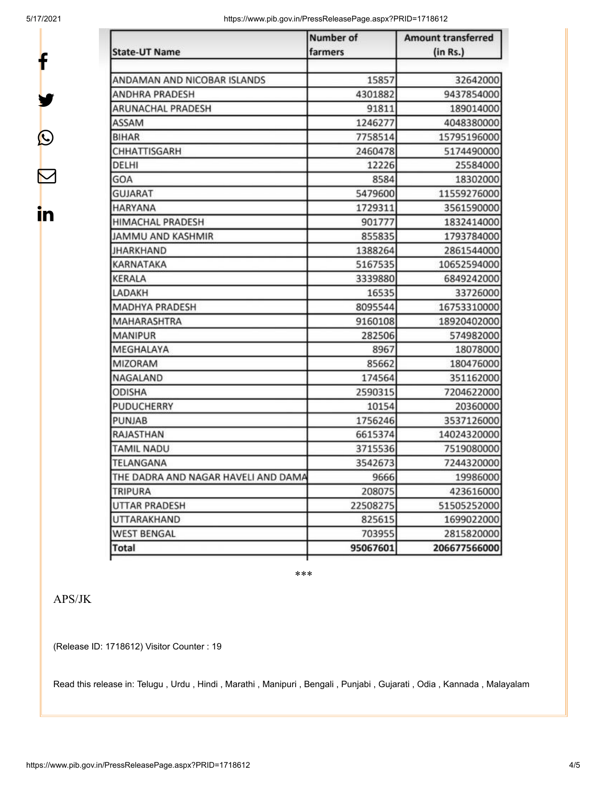f

y.

 $\bm{\mathcal{Q}}$ 

 $\bm{\nabla}$ 

in

5/17/2021 https://www.pib.gov.in/PressReleasePage.aspx?PRID=1718612

|                                     | Number of | <b>Amount transferred</b> |
|-------------------------------------|-----------|---------------------------|
| <b>State-UT Name</b>                | farmers   | (in Rs.)                  |
| ANDAMAN AND NICOBAR ISLANDS         | 15857     | 32642000                  |
| <b>ANDHRA PRADESH</b>               | 4301882   | 9437854000                |
| <b>ARUNACHAL PRADESH</b>            | 91811     | 189014000                 |
| ASSAM                               | 1246277   | 4048380000                |
| <b>BIHAR</b>                        | 7758514   | 15795196000               |
| CHHATTISGARH                        | 2460478   | 5174490000                |
| DELHI                               | 12226     | 25584000                  |
| GOA                                 | 8584      | 18302000                  |
| <b>GUJARAT</b>                      | 5479600   | 11559276000               |
| <b>HARYANA</b>                      | 1729311   | 3561590000                |
| HIMACHAL PRADESH                    | 901777    | 1832414000                |
| JAMMU AND KASHMIR                   | 855835    | 1793784000                |
| <b>JHARKHAND</b>                    | 1388264   | 2861544000                |
| <b>KARNATAKA</b>                    | 5167535   | 10652594000               |
| <b>KERALA</b>                       | 3339880   | 6849242000                |
| LADAKH                              | 16535     | 33726000                  |
| <b>MADHYA PRADESH</b>               | 8095544   | 16753310000               |
| MAHARASHTRA                         | 9160108   | 18920402000               |
| <b>MANIPUR</b>                      | 282506    | 574982000                 |
| MEGHALAYA                           | 8967      | 18078000                  |
| MIZORAM                             | 85662     | 180476000                 |
| NAGALAND                            | 174564    | 351162000                 |
| <b>ODISHA</b>                       | 2590315   | 7204622000                |
| PUDUCHERRY                          | 10154     | 20360000                  |
| <b>PUNJAB</b>                       | 1756246   | 3537126000                |
| RAJASTHAN                           | 6615374   | 14024320000               |
| <b>TAMIL NADU</b>                   | 3715536   | 7519080000                |
| TELANGANA                           | 3542673   | 7244320000                |
| THE DADRA AND NAGAR HAVELI AND DAMA | 9666      | 19986000                  |
| <b>TRIPURA</b>                      | 208075    | 423616000                 |
| <b>UTTAR PRADESH</b>                | 22508275  | 51505252000               |
| <b>UTTARAKHAND</b>                  | 825615    | 1699022000                |
| <b>WEST BENGAL</b>                  | 703955    | 2815820000                |
| <b>Total</b>                        | 95067601  | 206677566000              |

\*\*\*

## APS/JK

(Release ID: 1718612) Visitor Counter : 19

Read this release in: [Telugu](https://pib.gov.in/PressReleasePage.aspx?PRID=1718667) , [Urdu](https://pib.gov.in/PressReleasePage.aspx?PRID=1718698) , [Hindi](https://pib.gov.in/PressReleasePage.aspx?PRID=1718666) , [Marathi ,](https://pib.gov.in/PressReleasePage.aspx?PRID=1718633) [Manipuri ,](https://pib.gov.in/PressReleasePage.aspx?PRID=1718752) [Bengali ,](https://pib.gov.in/PressReleasePage.aspx?PRID=1718651) [Punjabi ,](https://pib.gov.in/PressReleasePage.aspx?PRID=1718748) [Gujarati ,](https://pib.gov.in/PressReleasePage.aspx?PRID=1718645) [Odia](https://pib.gov.in/PressReleasePage.aspx?PRID=1718712) , [Kannada ,](https://pib.gov.in/PressReleasePage.aspx?PRID=1718897) [Malayalam](https://pib.gov.in/PressReleasePage.aspx?PRID=1718669)